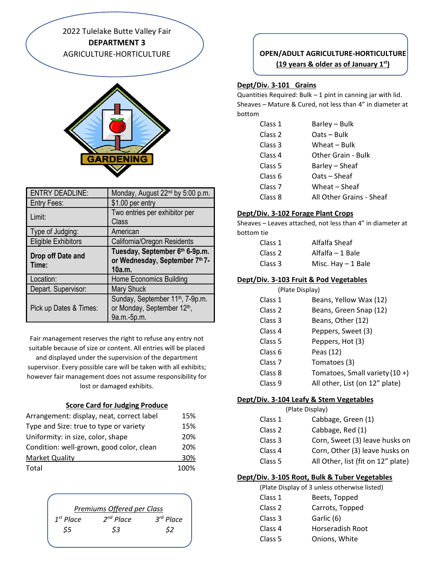2022 Tulelake Butte Valley Fair **DEPARTMENT 3** AGRICULTURE-HORTICULTURE



| <b>ENTRY DEADLINE:</b>     | Monday, August 22 <sup>nd</sup> by 5:00 p.m.                               |
|----------------------------|----------------------------------------------------------------------------|
| <b>Entry Fees:</b>         | \$1.00 per entry                                                           |
| Limit:                     | Two entries per exhibitor per<br>Class                                     |
| Type of Judging:           | American                                                                   |
| <b>Eligible Exhibitors</b> | California/Oregon Residents                                                |
| Drop off Date and<br>Time: | Tuesday, September 6th 6-9p.m.<br>or Wednesday, September 7th 7-<br>10a.m. |
| Location:                  | <b>Home Economics Building</b>                                             |
| Depart. Supervisor:        | <b>Mary Shuck</b>                                                          |
|                            | Sunday, September 11 <sup>th</sup> , 7-9p.m.                               |

Fair management reserves the right to refuse any entry not suitable because of size or content. All entries will be placed

and displayed under the supervision of the department supervisor. Every possible care will be taken with all exhibits; however fair management does not assume responsibility for lost or damaged exhibits.

#### **Score Card for Judging Produce**

| Arrangement: display, neat, correct label | 15%  |
|-------------------------------------------|------|
| Type and Size: true to type or variety    | 15%  |
| Uniformity: in size, color, shape         | 20%  |
| Condition: well-grown, good color, clean  | 20%  |
| <b>Market Quality</b>                     | 30%  |
| Total                                     | 100% |

|                | Premiums Offered per Class |             |
|----------------|----------------------------|-------------|
| $1^{st}$ Place | $2^{nd}$ Place             | $3rd$ Place |
| \$5            | \$3                        | \$2         |
|                |                            |             |

# **OPEN/ADULT AGRICULTURE-HORTICULTURE (19 years & older as of January 1st)**

# **Dept/Div. 3-101 Grains**

Quantities Required: Bulk – 1 pint in canning jar with lid. Sheaves – Mature & Cured, not less than 4" in diameter at bottom

| Class 1            | Barley - Bulk            |
|--------------------|--------------------------|
| Class 2            | Oats-Bulk                |
| Class 3            | Wheat – Bulk             |
| Class <sub>4</sub> | Other Grain - Bulk       |
| Class 5            | Barley – Sheaf           |
| Class 6            | Oats – Sheaf             |
| Class <sub>7</sub> | Wheat - Sheaf            |
| Class 8            | All Other Grains - Sheaf |

# **Dept/Div. 3-102 Forage Plant Crops**

Sheaves – Leaves attached, not less than 4" in diameter at bottom tie

| Class 1            | Alfalfa Sheaf       |
|--------------------|---------------------|
| Class <sub>2</sub> | Alfalfa – 1 Bale    |
| Class 3            | Misc. Hay $-1$ Bale |

### **Dept/Div. 3-103 Fruit & Pod Vegetables**

|                    | (Plate Display)                |
|--------------------|--------------------------------|
| Class 1            | Beans, Yellow Wax (12)         |
| Class 2            | Beans, Green Snap (12)         |
| Class 3            | Beans, Other (12)              |
| Class 4            | Peppers, Sweet (3)             |
| Class 5            | Peppers, Hot (3)               |
| Class 6            | Peas (12)                      |
| Class <sub>7</sub> | Tomatoes (3)                   |
| Class 8            | Tomatoes, Small variety (10 +) |
| Class 9            | All other, List (on 12" plate) |

### **Dept/Div. 3-104 Leafy & Stem Vegetables**

|         | (Plate Display)                    |
|---------|------------------------------------|
| Class 1 | Cabbage, Green (1)                 |
| Class 2 | Cabbage, Red (1)                   |
| Class 3 | Corn, Sweet (3) leave husks on     |
| Class 4 | Corn, Other (3) leave husks on     |
| Class 5 | All Other, list (fit on 12" plate) |

### **Dept/Div. 3-105 Root, Bulk & Tuber Vegetables**

(Plate Display of 3 unless otherwise listed)

Class 1 Beets, Topped Class 2 Carrots, Topped Class 3 Garlic (6) Class 4 Horseradish Root Class 5 Onions, White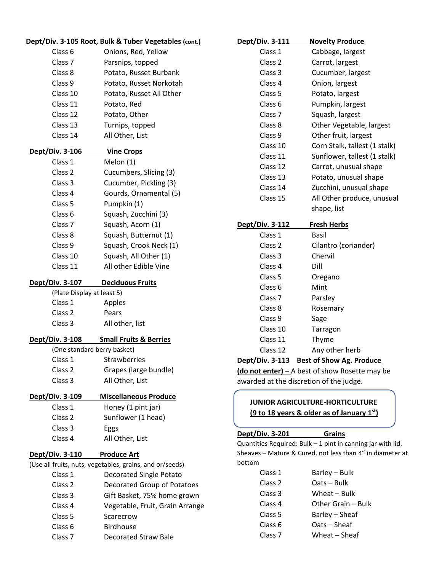|                             | Dept/Div. 3-105 Root, Bulk & Tuber Vegetables (cont.)    |
|-----------------------------|----------------------------------------------------------|
| Class 6                     | Onions, Red, Yellow                                      |
| Class 7                     | Parsnips, topped                                         |
| Class 8                     | Potato, Russet Burbank                                   |
| Class 9                     | Potato, Russet Norkotah                                  |
| Class 10                    | Potato, Russet All Other                                 |
| Class 11                    | Potato, Red                                              |
| Class 12                    | Potato, Other                                            |
| Class 13                    | Turnips, topped                                          |
| Class 14                    | All Other, List                                          |
| Dept/Div. 3-106             | <b>Vine Crops</b>                                        |
| Class 1                     | Melon (1)                                                |
| Class 2                     | Cucumbers, Slicing (3)                                   |
| Class 3                     | Cucumber, Pickling (3)                                   |
| Class 4                     | Gourds, Ornamental (5)                                   |
| Class 5                     | Pumpkin (1)                                              |
| Class 6                     | Squash, Zucchini (3)                                     |
| Class 7                     | Squash, Acorn (1)                                        |
| Class 8                     | Squash, Butternut (1)                                    |
| Class 9                     | Squash, Crook Neck (1)                                   |
| Class 10                    | Squash, All Other (1)                                    |
| Class 11                    | All other Edible Vine                                    |
| <b>Dept/Div. 3-107</b>      | <b>Deciduous Fruits</b>                                  |
| (Plate Display at least 5)  |                                                          |
| Class 1                     | Apples                                                   |
| Class 2                     | Pears                                                    |
| Class 3                     | All other, list                                          |
|                             | Dept/Div. 3-108 Small Fruits & Berries                   |
| (One standard berry basket) |                                                          |
| Class 1                     | Strawberries                                             |
| Class <sub>2</sub>          | Grapes (large bundle)                                    |
| Class 3                     | All Other, List                                          |
| <u>Dept/Div. 3-109</u>      | <b>Miscellaneous Produce</b>                             |
| Class 1                     | Honey (1 pint jar)                                       |
| Class 2                     | Sunflower (1 head)                                       |
| Class 3                     | Eggs                                                     |
| Class 4                     | All Other, List                                          |
| Dept/Div. 3-110             | <b>Produce Art</b>                                       |
|                             | (Use all fruits, nuts, vegetables, grains, and or/seeds) |
| Class 1                     | <b>Decorated Single Potato</b>                           |
| Class 2                     | Decorated Group of Potatoes                              |
| Class 3                     | Gift Basket, 75% home grown                              |
| Class 4                     | Vegetable, Fruit, Grain Arrange                          |
| Class 5                     | Scarecrow                                                |
| Class 6                     | <b>Birdhouse</b>                                         |
| Class 7                     | <b>Decorated Straw Bale</b>                              |

| Dept/Div. 3-111        | <b>Novelty Produce</b>        |
|------------------------|-------------------------------|
| Class 1                | Cabbage, largest              |
| Class <sub>2</sub>     | Carrot, largest               |
| Class 3                | Cucumber, largest             |
| Class 4                | Onion, largest                |
| Class <sub>5</sub>     | Potato, largest               |
| Class <sub>6</sub>     | Pumpkin, largest              |
| Class <sub>7</sub>     | Squash, largest               |
| Class 8                | Other Vegetable, largest      |
| Class 9                | Other fruit, largest          |
| Class 10               | Corn Stalk, tallest (1 stalk) |
| Class 11               | Sunflower, tallest (1 stalk)  |
| Class 12               | Carrot, unusual shape         |
| Class 13               | Potato, unusual shape         |
| Class 14               | Zucchini, unusual shape       |
| Class 15               | All Other produce, unusual    |
|                        | shape, list                   |
| <u>Dept/Div. 3-112</u> | <b>Fresh Herbs</b>            |
| Class 1                | <b>Basil</b>                  |
| Class <sub>2</sub>     | Cilantro (coriander)          |
| Class 3                | Chervil                       |
| Class 4                | Dill                          |
| Class <sub>5</sub>     | Oregano                       |
| Class <sub>6</sub>     | Mint                          |
| Class <sub>7</sub>     | Parsley                       |
| Class 8                | Rosemary                      |
| Class 9                | Sage                          |
| Class 10               | Tarragon                      |

#### Class 11 Thyme

#### Class 12 Any other herb

#### **Dept/Div. 3-113 Best of Show Ag. Produce**

**(do not enter) –** A best of show Rosette may be awarded at the discretion of the judge.

# **JUNIOR AGRICULTURE-HORTICULTURE (9 to 18 years & older as of January 1st)**

#### **Dept/Div. 3-201 Grains**

Quantities Required: Bulk – 1 pint in canning jar with lid. Sheaves – Mature & Cured, not less than 4" in diameter at bottom

| Class 1            | Barley – Bulk      |
|--------------------|--------------------|
| Class <sub>2</sub> | Oats - Bulk        |
| Class 3            | Wheat – Bulk       |
| Class 4            | Other Grain - Bulk |
| Class 5            | Barley – Sheaf     |
| Class 6            | Oats - Sheaf       |
| Class <sub>7</sub> | Wheat - Sheaf      |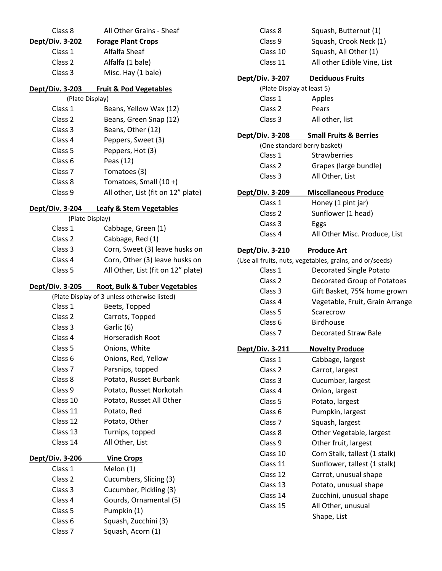| Class 8                            | All Other Grains - Sheaf                     |
|------------------------------------|----------------------------------------------|
| Dept/Div. 3-202                    | <b>Forage Plant Crops</b>                    |
| Class 1                            | Alfalfa Sheaf                                |
| Class 2                            | Alfalfa (1 bale)                             |
| Class 3                            | Misc. Hay (1 bale)                           |
| Dept/Div. 3-203                    | <b>Fruit &amp; Pod Vegetables</b>            |
| (Plate Display)                    |                                              |
| Class 1                            | Beans, Yellow Wax (12)                       |
| Class <sub>2</sub>                 | Beans, Green Snap (12)                       |
| Class 3                            | Beans, Other (12)                            |
| Class 4<br>Class 5                 | Peppers, Sweet (3)                           |
| Class 6                            | Peppers, Hot (3)                             |
| Class <sub>7</sub>                 | Peas (12)                                    |
| Class 8                            | Tomatoes (3)<br>Tomatoes, Small (10+)        |
| Class 9                            | All other, List (fit on 12" plate)           |
|                                    |                                              |
| Dept/Div. 3-204<br>(Plate Display) | <b>Leafy &amp; Stem Vegetables</b>           |
| Class 1                            | Cabbage, Green (1)                           |
| Class 2                            | Cabbage, Red (1)                             |
| Class 3                            | Corn, Sweet (3) leave husks on               |
| Class 4                            | Corn, Other (3) leave husks on               |
| Class 5                            | All Other, List (fit on 12" plate)           |
|                                    |                                              |
|                                    |                                              |
| Dept/Div. 3-205                    | <b>Root, Bulk &amp; Tuber Vegetables</b>     |
|                                    | (Plate Display of 3 unless otherwise listed) |
| Class 1                            | Beets, Topped                                |
| Class 2                            | Carrots, Topped                              |
| Class 3                            | Garlic (6)                                   |
| Class 4                            | Horseradish Root                             |
| Class 5                            | Onions, White                                |
| Class 6                            | Onions, Red, Yellow                          |
| Class 7                            | Parsnips, topped                             |
| Class 8                            | Potato, Russet Burbank                       |
| Class 9                            | Potato, Russet Norkotah                      |
| Class 10                           | Potato, Russet All Other                     |
| Class 11<br>Class 12               | Potato, Red                                  |
|                                    | Potato, Other                                |
| Class 13<br>Class 14               | Turnips, topped<br>All Other, List           |
| Dept/Div. 3-206                    | <b>Vine Crops</b>                            |
| Class 1                            | Melon (1)                                    |
| Class 2                            | Cucumbers, Slicing (3)                       |
| Class 3                            | Cucumber, Pickling (3)                       |
| Class 4                            | Gourds, Ornamental (5)                       |
| Class 5                            | Pumpkin (1)                                  |
| Class 6                            | Squash, Zucchini (3)                         |

| Class 8                          | Squash, Butternut (1)                                    |
|----------------------------------|----------------------------------------------------------|
| Class 9                          | Squash, Crook Neck (1)                                   |
| Class 10                         | Squash, All Other (1)                                    |
| Class 11                         | All other Edible Vine, List                              |
| Dept/Div. 3-207 Deciduous Fruits |                                                          |
| (Plate Display at least 5)       |                                                          |
| Class 1                          | Apples                                                   |
| Class 2                          | Pears                                                    |
| Class 3                          | All other, list                                          |
| Dept/Div. 3-208                  | <b>Small Fruits &amp; Berries</b>                        |
| (One standard berry basket)      |                                                          |
| Class 1                          | <b>Strawberries</b>                                      |
| Class 2                          | Grapes (large bundle)                                    |
| Class 3                          | All Other, List                                          |
| Dept/Div. 3-209                  | <b>Miscellaneous Produce</b>                             |
| Class 1                          | Honey (1 pint jar)                                       |
| Class 2                          | Sunflower (1 head)                                       |
| Class 3                          | Eggs                                                     |
| Class 4                          | All Other Misc. Produce, List                            |
| <b>Dept/Div. 3-210</b>           | <b>Produce Art</b>                                       |
|                                  | (Use all fruits, nuts, vegetables, grains, and or/seeds) |
| Class 1                          | Decorated Single Potato                                  |
| Class 2                          | Decorated Group of Potatoes                              |
| Class 3                          | Gift Basket, 75% home grown                              |
| Class 4                          | Vegetable, Fruit, Grain Arrange                          |
| Class 5                          | Scarecrow                                                |
| Class 6                          | <b>Birdhouse</b>                                         |
| Class <sub>7</sub>               | Decorated Straw Bale                                     |
| Dept/Div. 3-211                  | <b>Novelty Produce</b>                                   |
| Class 1                          | Cabbage, largest                                         |
| Class 2                          | Carrot, largest                                          |
| Class <sub>3</sub>               | Cucumber, largest                                        |
| Class 4                          | Onion, largest                                           |
| Class 5                          | Potato, largest                                          |
| Class <sub>6</sub>               | Pumpkin, largest                                         |
| Class 7                          | Squash, largest                                          |
| Class 8                          | Other Vegetable, largest                                 |
| Class 9                          | Other fruit, largest                                     |
| Class 10                         | Corn Stalk, tallest (1 stalk)                            |
| Class 11                         | Sunflower, tallest (1 stalk)                             |
| Class 12                         | Carrot, unusual shape                                    |
| Class 13                         | Potato, unusual shape                                    |
| Class 14                         | Zucchini, unusual shape                                  |
| Class 15                         | All Other, unusual                                       |
|                                  | Shape, List                                              |
|                                  |                                                          |